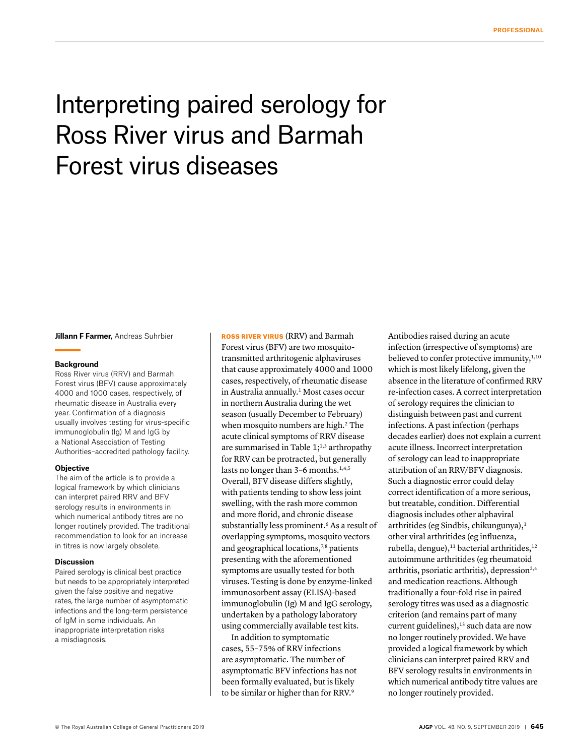# Interpreting paired serology for Ross River virus and Barmah Forest virus diseases

**Jillann F Farmer,** Andreas Suhrbier

#### **Background**

Ross River virus (RRV) and Barmah Forest virus (BFV) cause approximately 4000 and 1000 cases, respectively, of rheumatic disease in Australia every year. Confirmation of a diagnosis usually involves testing for virus-specific immunoglobulin (Ig) M and IgG by a National Association of Testing Authorities–accredited pathology facility.

#### **Objective**

The aim of the article is to provide a logical framework by which clinicians can interpret paired RRV and BFV serology results in environments in which numerical antibody titres are no longer routinely provided. The traditional recommendation to look for an increase in titres is now largely obsolete.

#### **Discussion**

Paired serology is clinical best practice but needs to be appropriately interpreted given the false positive and negative rates, the large number of asymptomatic infections and the long-term persistence of IgM in some individuals. An inappropriate interpretation risks a misdiagnosis.

ROSS RIVER VIRUS (RRV) and Barmah Forest virus (BFV) are two mosquitotransmitted arthritogenic alphaviruses that cause approximately 4000 and 1000 cases, respectively, of rheumatic disease in Australia annually.<sup>1</sup> Most cases occur in northern Australia during the wet season (usually December to February) when mosquito numbers are high.<sup>2</sup> The acute clinical symptoms of RRV disease are summarised in Table  $1;^{1,3}$  arthropathy for RRV can be protracted, but generally lasts no longer than 3-6 months.<sup>1,4,5</sup> Overall, BFV disease differs slightly, with patients tending to show less joint swelling, with the rash more common and more florid, and chronic disease substantially less prominent.<sup>6</sup> As a result of overlapping symptoms, mosquito vectors and geographical locations,<sup>7,8</sup> patients presenting with the aforementioned symptoms are usually tested for both viruses. Testing is done by enzyme-linked immunosorbent assay (ELISA)-based immunoglobulin (Ig) M and IgG serology, undertaken by a pathology laboratory using commercially available test kits.

In addition to symptomatic cases, 55–75% of RRV infections are asymptomatic. The number of asymptomatic BFV infections has not been formally evaluated, but is likely to be similar or higher than for RRV.<sup>9</sup>

Antibodies raised during an acute infection (irrespective of symptoms) are believed to confer protective immunity,<sup>1,10</sup> which is most likely lifelong, given the absence in the literature of confirmed RRV re-infection cases. A correct interpretation of serology requires the clinician to distinguish between past and current infections. A past infection (perhaps decades earlier) does not explain a current acute illness. Incorrect interpretation of serology can lead to inappropriate attribution of an RRV/BFV diagnosis. Such a diagnostic error could delay correct identification of a more serious, but treatable, condition. Differential diagnosis includes other alphaviral arthritides (eg Sindbis, chikungunya), $<sup>1</sup>$ </sup> other viral arthritides (eg influenza, rubella, dengue),<sup>11</sup> bacterial arthritides,<sup>12</sup> autoimmune arthritides (eg rheumatoid arthritis, psoriatic arthritis), depression<sup>2,4</sup> and medication reactions. Although traditionally a four-fold rise in paired serology titres was used as a diagnostic criterion (and remains part of many current guidelines),<sup>13</sup> such data are now no longer routinely provided. We have provided a logical framework by which clinicians can interpret paired RRV and BFV serology results in environments in which numerical antibody titre values are no longer routinely provided.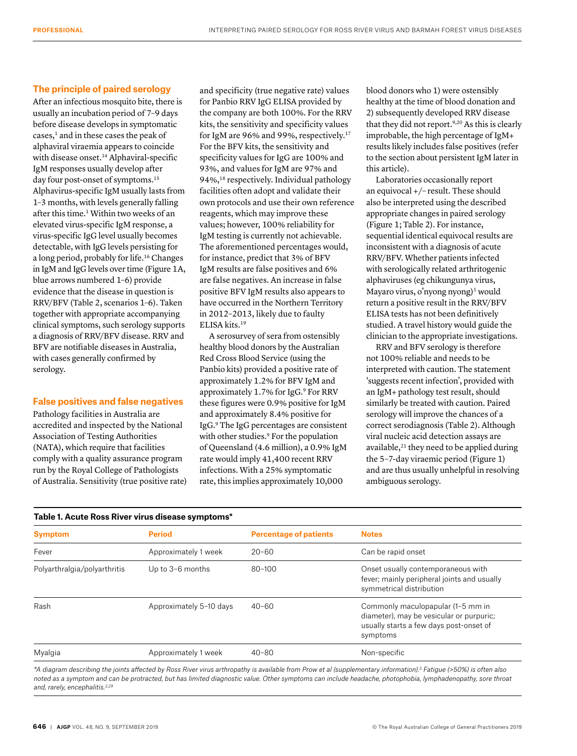### **The principle of paired serology**

After an infectious mosquito bite, there is usually an incubation period of 7–9 days before disease develops in symptomatic  $cases, 1$  and in these cases the peak of alphaviral viraemia appears to coincide with disease onset.<sup>14</sup> Alphaviral-specific IgM responses usually develop after day four post-onset of symptoms.<sup>15</sup> Alphavirus-specific IgM usually lasts from 1–3 months, with levels generally falling after this time.<sup>1</sup> Within two weeks of an elevated virus-specific IgM response, a virus-specific IgG level usually becomes detectable, with IgG levels persisting for a long period, probably for life.16 Changes in IgM and IgG levels over time (Figure 1A, blue arrows numbered 1–6) provide evidence that the disease in question is RRV/BFV (Table 2, scenarios 1–6). Taken together with appropriate accompanying clinical symptoms, such serology supports a diagnosis of RRV/BFV disease. RRV and BFV are notifiable diseases in Australia, with cases generally confirmed by serology.

# **False positives and false negatives**

Pathology facilities in Australia are accredited and inspected by the National Association of Testing Authorities (NATA), which require that facilities comply with a quality assurance program run by the Royal College of Pathologists of Australia. Sensitivity (true positive rate)

and specificity (true negative rate) values for Panbio RRV IgG ELISA provided by the company are both 100%. For the RRV kits, the sensitivity and specificity values for IgM are 96% and 99%, respectively.<sup>17</sup> For the BFV kits, the sensitivity and specificity values for IgG are 100% and 93%, and values for IgM are 97% and 94%,18 respectively. Individual pathology facilities often adopt and validate their own protocols and use their own reference reagents, which may improve these values; however, 100% reliability for IgM testing is currently not achievable. The aforementioned percentages would, for instance, predict that 3% of BFV IgM results are false positives and 6% are false negatives. An increase in false positive BFV IgM results also appears to have occurred in the Northern Territory in 2012–2013, likely due to faulty ELISA kits.19

A serosurvey of sera from ostensibly healthy blood donors by the Australian Red Cross Blood Service (using the Panbio kits) provided a positive rate of approximately 1.2% for BFV IgM and approximately 1.7% for IgG.<sup>9</sup> For RRV these figures were 0.9% positive for IgM and approximately 8.4% positive for IgG.9 The IgG percentages are consistent with other studies.<sup>9</sup> For the population of Queensland (4.6 million), a 0.9% IgM rate would imply 41,400 recent RRV infections. With a 25% symptomatic rate, this implies approximately 10,000

blood donors who 1) were ostensibly healthy at the time of blood donation and 2) subsequently developed RRV disease that they did not report.9,20 As this is clearly improbable, the high percentage of IgM+ results likely includes false positives (refer to the section about persistent IgM later in this article).

Laboratories occasionally report an equivocal +/– result. These should also be interpreted using the described appropriate changes in paired serology (Figure 1; Table 2). For instance, sequential identical equivocal results are inconsistent with a diagnosis of acute RRV/BFV. Whether patients infected with serologically related arthritogenic alphaviruses (eg chikungunya virus, Mayaro virus, o'nyong nyong)<sup>1</sup> would return a positive result in the RRV/BFV ELISA tests has not been definitively studied. A travel history would guide the clinician to the appropriate investigations.

RRV and BFV serology is therefore not 100% reliable and needs to be interpreted with caution. The statement 'suggests recent infection', provided with an IgM+ pathology test result, should similarly be treated with caution. Paired serology will improve the chances of a correct serodiagnosis (Table 2). Although viral nucleic acid detection assays are available, $21$  they need to be applied during the 5–7-day viraemic period (Figure 1) and are thus usually unhelpful in resolving ambiguous serology.

| Table 1. Acute Ross River virus disease symptoms* |                         |                               |                                                                                                                                      |  |  |
|---------------------------------------------------|-------------------------|-------------------------------|--------------------------------------------------------------------------------------------------------------------------------------|--|--|
| <b>Symptom</b>                                    | <b>Period</b>           | <b>Percentage of patients</b> | <b>Notes</b>                                                                                                                         |  |  |
| Fever                                             | Approximately 1 week    | $20 - 60$                     | Can be rapid onset                                                                                                                   |  |  |
| Polyarthralgia/polyarthritis                      | Up to 3-6 months        | $80 - 100$                    | Onset usually contemporaneous with<br>fever; mainly peripheral joints and usually<br>symmetrical distribution                        |  |  |
| Rash                                              | Approximately 5-10 days |                               | Commonly maculopapular (1-5 mm in<br>diameter), may be vesicular or purpuric;<br>usually starts a few days post-onset of<br>symptoms |  |  |
| Myalgia                                           | Approximately 1 week    | $40 - 80$                     | Non-specific                                                                                                                         |  |  |

*\*A diagram describing the joints affected by Ross River virus arthropathy is available from Prow et al (supplementary information).3 Fatigue (>50%) is often also noted as a symptom and can be protracted, but has limited diagnostic value. Other symptoms can include headache, photophobia, lymphadenopathy, sore throat and, rarely, encephalitis.2,29*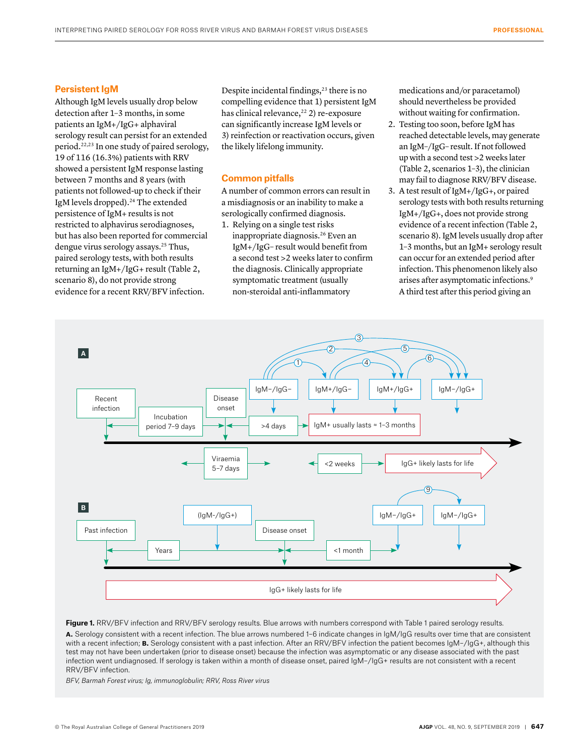### **Persistent IgM**

Although IgM levels usually drop below detection after 1–3 months, in some patients an IgM+/IgG+ alphaviral serology result can persist for an extended period.22,23 In one study of paired serology, 19 of 116 (16.3%) patients with RRV showed a persistent IgM response lasting between 7 months and 8 years (with patients not followed-up to check if their IgM levels dropped).<sup>24</sup> The extended persistence of IgM+ results is not restricted to alphavirus serodiagnoses, but has also been reported for commercial dengue virus serology assays.25 Thus, paired serology tests, with both results returning an IgM+/IgG+ result (Table 2, scenario 8), do not provide strong evidence for a recent RRV/BFV infection.

Despite incidental findings,<sup>23</sup> there is no compelling evidence that 1) persistent IgM has clinical relevance,<sup>22</sup> 2) re-exposure can significantly increase IgM levels or 3) reinfection or reactivation occurs, given the likely lifelong immunity.

## **Common pitfalls**

A number of common errors can result in a misdiagnosis or an inability to make a serologically confirmed diagnosis.

1. Relying on a single test risks inappropriate diagnosis.26 Even an IgM+/IgG– result would benefit from a second test >2 weeks later to confirm the diagnosis. Clinically appropriate symptomatic treatment (usually non-steroidal anti-inflammatory

medications and/or paracetamol) should nevertheless be provided without waiting for confirmation.

- 2. Testing too soon, before IgM has reached detectable levels, may generate an IgM–/IgG– result. If not followed up with a second test >2 weeks later (Table 2, scenarios 1–3), the clinician may fail to diagnose RRV/BFV disease.
- 3. A test result of IgM+/IgG+, or paired serology tests with both results returning IgM+/IgG+, does not provide strong evidence of a recent infection (Table 2, scenario 8). IgM levels usually drop after 1–3 months, but an IgM+ serology result can occur for an extended period after infection. This phenomenon likely also arises after asymptomatic infections.9 A third test after this period giving an



Figure 1. RRV/BFV infection and RRV/BFV serology results. Blue arrows with numbers correspond with Table 1 paired serology results. **a.** Serology consistent with a recent infection. The blue arrows numbered 1–6 indicate changes in IgM/IgG results over time that are consistent with a recent infection; **B.** Serology consistent with a past infection. After an RRV/BFV infection the patient becomes IgM-/IgG+, although this test may not have been undertaken (prior to disease onset) because the infection was asymptomatic or any disease associated with the past infection went undiagnosed. If serology is taken within a month of disease onset, paired IgM–/IgG+ results are not consistent with a recent RRV/BFV infection.

*BFV, Barmah Forest virus; Ig, immunoglobulin; RRV, Ross River virus*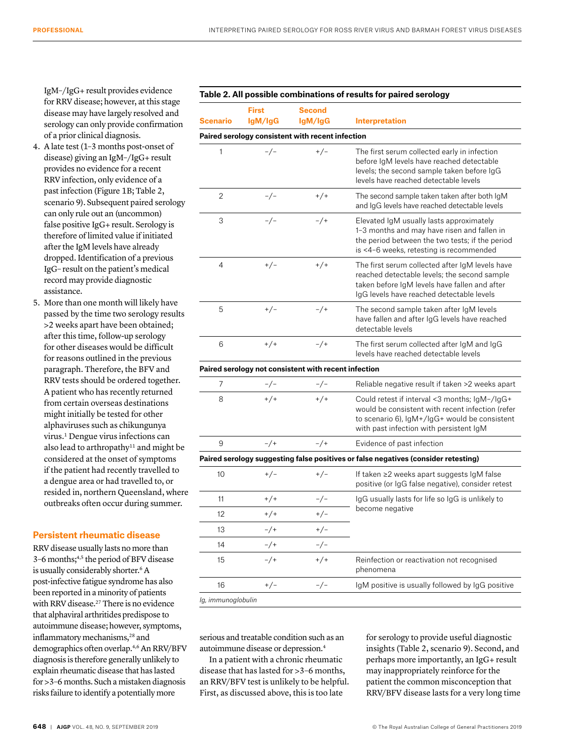IgM–/IgG+ result provides evidence for RRV disease; however, at this stage disease may have largely resolved and serology can only provide confirmation of a prior clinical diagnosis.

- 4. A late test (1–3 months post-onset of disease) giving an IgM–/IgG+ result provides no evidence for a recent RRV infection, only evidence of a past infection (Figure 1B; Table 2, scenario 9). Subsequent paired serology can only rule out an (uncommon) false positive IgG+ result. Serology is therefore of limited value if initiated after the IgM levels have already dropped. Identification of a previous IgG– result on the patient's medical record may provide diagnostic assistance.
- 5. More than one month will likely have passed by the time two serology results >2 weeks apart have been obtained; after this time, follow-up serology for other diseases would be difficult for reasons outlined in the previous paragraph. Therefore, the BFV and RRV tests should be ordered together. A patient who has recently returned from certain overseas destinations might initially be tested for other alphaviruses such as chikungunya virus.1 Dengue virus infections can also lead to arthropathy $^{11}$  and might be considered at the onset of symptoms if the patient had recently travelled to a dengue area or had travelled to, or resided in, northern Queensland, where outbreaks often occur during summer.

## **Persistent rheumatic disease**

RRV disease usually lasts no more than 3–6 months;4,5 the period of BFV disease is usually considerably shorter.<sup>6</sup> A post-infective fatigue syndrome has also been reported in a minority of patients with RRV disease.<sup>27</sup> There is no evidence that alphaviral arthritides predispose to autoimmune disease; however, symptoms, inflammatory mechanisms,<sup>28</sup> and demographics often overlap.4,6 An RRV/BFV diagnosis is therefore generally unlikely to explain rheumatic disease that has lasted for >3–6 months. Such a mistaken diagnosis risks failure to identify a potentially more

#### **Table 2. All possible combinations of results for paired serology**

| <b>Scenario</b>                                             | <b>First</b> | <b>Second</b><br>lgM/lgG                             |                                                                                                                                                                                               |  |
|-------------------------------------------------------------|--------------|------------------------------------------------------|-----------------------------------------------------------------------------------------------------------------------------------------------------------------------------------------------|--|
| lgM/lgG<br>Paired serology consistent with recent infection |              |                                                      | <b>Interpretation</b>                                                                                                                                                                         |  |
|                                                             |              |                                                      |                                                                                                                                                                                               |  |
| 1                                                           | $-/-$        | $+/-$                                                | The first serum collected early in infection<br>before IgM levels have reached detectable<br>levels; the second sample taken before IgG<br>levels have reached detectable levels              |  |
| $\overline{2}$                                              | $-/-$        | $+ / +$                                              | The second sample taken taken after both IgM<br>and IgG levels have reached detectable levels                                                                                                 |  |
| 3                                                           | $-/-$        | $-$ /+                                               | Elevated IgM usually lasts approximately<br>1-3 months and may have risen and fallen in<br>the period between the two tests; if the period<br>is <4-6 weeks, retesting is recommended         |  |
| $\overline{4}$                                              | $+/-$        | $+ / +$                                              | The first serum collected after IgM levels have<br>reached detectable levels; the second sample<br>taken before IgM levels have fallen and after<br>IgG levels have reached detectable levels |  |
| 5                                                           | $+/-$        | $-$ /+                                               | The second sample taken after IgM levels<br>have fallen and after IgG levels have reached<br>detectable levels                                                                                |  |
| 6                                                           | $+/-$        | $-$ /+                                               | The first serum collected after IgM and IgG<br>levels have reached detectable levels                                                                                                          |  |
|                                                             |              | Paired serology not consistent with recent infection |                                                                                                                                                                                               |  |
| $\overline{7}$                                              | $-/-$        | $-/-$                                                | Reliable negative result if taken >2 weeks apart                                                                                                                                              |  |
| 8                                                           | $+/+$        | $+/+$                                                | Could retest if interval <3 months; IgM-/IgG+<br>would be consistent with recent infection (refer<br>to scenario 6), IgM+/IgG+ would be consistent<br>with past infection with persistent IgM |  |
| 9                                                           | $-/+$        | $-$ /+                                               | Evidence of past infection                                                                                                                                                                    |  |
|                                                             |              |                                                      | Paired serology suggesting false positives or false negatives (consider retesting)                                                                                                            |  |

| an ou oororogy ouggooding raioo poortryoo or raioo nogativoo (oomoraor rotooting) |        |       |                                                                                                                          |  |
|-----------------------------------------------------------------------------------|--------|-------|--------------------------------------------------------------------------------------------------------------------------|--|
| 10                                                                                | $+/-$  | $+/-$ | If taken $\geq$ weeks apart suggests $\mathsf{I} \mathsf{qM}$ false<br>positive (or IgG false negative), consider retest |  |
| 11                                                                                | $+/+$  | -/-   | IgG usually lasts for life so IgG is unlikely to<br>become negative                                                      |  |
| 12                                                                                | $+/+$  | $+/-$ |                                                                                                                          |  |
| 13                                                                                | $-$ /+ | $+/-$ |                                                                                                                          |  |
| 14                                                                                | $-$ /+ | $-/-$ |                                                                                                                          |  |
| 15                                                                                | $-$ /+ | $+/+$ | Reinfection or reactivation not recognised<br>phenomena                                                                  |  |
| 16                                                                                | $+/-$  |       | lgM positive is usually followed by IgG positive                                                                         |  |
|                                                                                   |        |       |                                                                                                                          |  |

*Ig, immunoglobulin*

serious and treatable condition such as an autoimmune disease or depression.4

In a patient with a chronic rheumatic disease that has lasted for >3–6 months, an RRV/BFV test is unlikely to be helpful. First, as discussed above, this is too late

for serology to provide useful diagnostic insights (Table 2, scenario 9). Second, and perhaps more importantly, an IgG+ result may inappropriately reinforce for the patient the common misconception that RRV/BFV disease lasts for a very long time